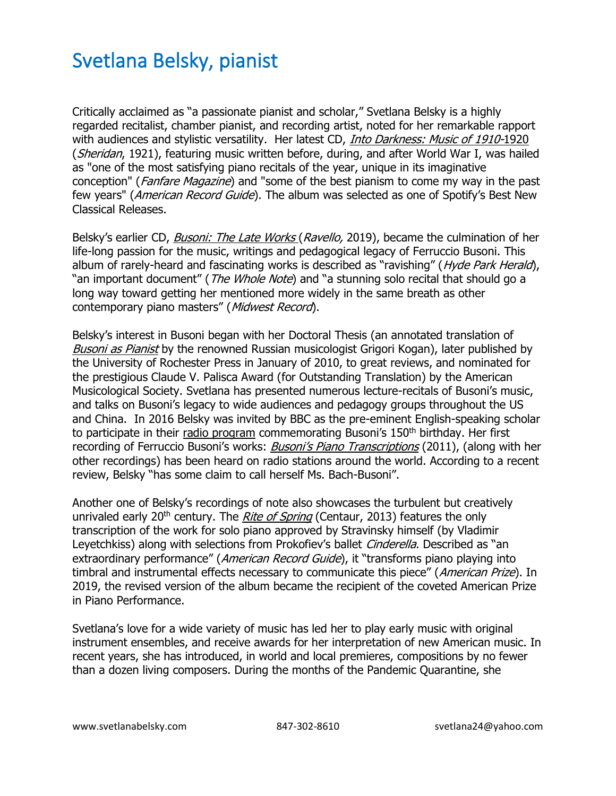## Svetlana Belsky, pianist

Critically acclaimed as "a passionate pianist and scholar," Svetlana Belsky is a highly regarded recitalist, chamber pianist, and recording artist, noted for her remarkable rapport with audiences and stylistic versatility. Her latest CD, *[Into Darkness: Music of 1910-](https://www.svetlanabelsky.com/into-darkness-cd)*1920 (Sheridan, 1921), featuring music written before, during, and after World War I, was hailed as "one of the most satisfying piano recitals of the year, unique in its imaginative conception" (*Fanfare Magazine*) and "some of the best pianism to come my way in the past few years" (*American Record Guide*). The album was selected as one of Spotify's Best New Classical Releases.

Belsky's earlier CD, *[Busoni: The Late Works](https://www.svetlanabelsky.com/ferruccio-busoni-the-late-works) (Ravello,* 2019), became the culmination of her life-long passion for the music, writings and pedagogical legacy of Ferruccio Busoni. This album of rarely-heard and fascinating works is described as "ravishing" (Hyde Park Herald), "an important document" (*The Whole Note*) and "a stunning solo recital that should go a long way toward getting her mentioned more widely in the same breath as other contemporary piano masters" (Midwest Record).

Belsky's interest in Busoni began with her Doctoral Thesis (an annotated translation of [Busoni as Pianist](https://www.svetlanabelsky.com/busoni-as-pianist) by the renowned Russian musicologist Grigori Kogan), later published by the University of Rochester Press in January of 2010, to great reviews, and nominated for the prestigious Claude V. Palisca Award (for Outstanding Translation) by the American Musicological Society. Svetlana has presented numerous lecture-recitals of Busoni's music, and talks on Busoni's legacy to wide audiences and pedagogy groups throughout the US and China. In 2016 Belsky was invited by BBC as the pre-eminent English-speaking scholar to participate in their [radio program](https://youtu.be/yilxceVxOtE) commemorating Busoni's  $150<sup>th</sup>$  birthday. Her first recording of Ferruccio Busoni's works: **[Busoni's Piano Transcriptions](https://www.svetlanabelsky.com/blank-cnne7)** (2011), (along with her other recordings) has been heard on radio stations around the world. According to a recent review, Belsky "has some claim to call herself Ms. Bach-Busoni".

Another one of Belsky's recordings of note also showcases the turbulent but creatively unrivaled early 20<sup>th</sup> century. The *[Rite of Spring](https://www.svetlanabelsky.com/rite-of-spring)* (Centaur, 2013) features the only transcription of the work for solo piano approved by Stravinsky himself (by Vladimir Leyetchkiss) along with selections from Prokofiev's ballet *Cinderella*. Described as "an extraordinary performance" (American Record Guide), it "transforms piano playing into timbral and instrumental effects necessary to communicate this piece" (American Prize). In 2019, the revised version of the album became the recipient of the coveted American Prize in Piano Performance.

Svetlana's love for a wide variety of music has led her to play early music with original instrument ensembles, and receive awards for her interpretation of new American music. In recent years, she has introduced, in world and local premieres, compositions by no fewer than a dozen living composers. During the months of the Pandemic Quarantine, she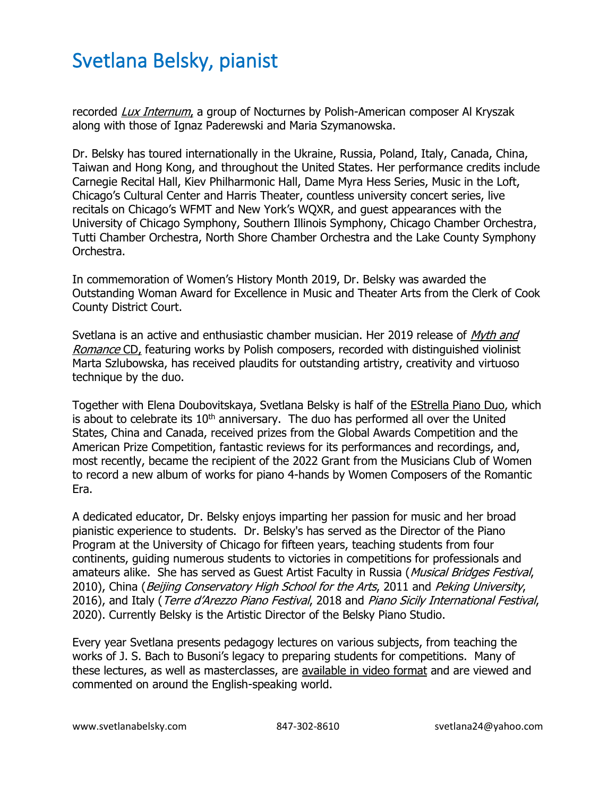## Svetlana Belsky, pianist

recorded [Lux Internum](https://www.svetlanabelsky.com/luxinternumcd), a group of Nocturnes by Polish-American composer Al Kryszak along with those of Ignaz Paderewski and Maria Szymanowska.

Dr. Belsky has toured internationally in the Ukraine, Russia, Poland, Italy, Canada, China, Taiwan and Hong Kong, and throughout the United States. Her performance credits include Carnegie Recital Hall, Kiev Philharmonic Hall, Dame Myra Hess Series, Music in the Loft, Chicago's Cultural Center and Harris Theater, countless university concert series, live recitals on Chicago's WFMT and New York's WQXR, and guest appearances with the University of Chicago Symphony, Southern Illinois Symphony, Chicago Chamber Orchestra, Tutti Chamber Orchestra, North Shore Chamber Orchestra and the Lake County Symphony Orchestra.

In commemoration of Women's History Month 2019, Dr. Belsky was awarded the Outstanding Woman Award for Excellence in Music and Theater Arts from the Clerk of Cook County District Court.

Svetlana is an active and enthusiastic chamber musician. Her 2019 release of *Myth and* [Romance](https://www.svetlanabelsky.com/myth-and-romance-cd) CD, featuring works by Polish composers, recorded with distinguished violinist Marta Szlubowska, has received plaudits for outstanding artistry, creativity and virtuoso technique by the duo.

Together with Elena Doubovitskaya, Svetlana Belsky is half of the [EStrella Piano Duo,](https://www.svetlanabelsky.com/estrella-duo) which is about to celebrate its  $10<sup>th</sup>$  anniversary. The duo has performed all over the United States, China and Canada, received prizes from the Global Awards Competition and the American Prize Competition, fantastic reviews for its performances and recordings, and, most recently, became the recipient of the 2022 Grant from the Musicians Club of Women to record a new album of works for piano 4-hands by Women Composers of the Romantic Era.

A dedicated educator, Dr. Belsky enjoys imparting her passion for music and her broad pianistic experience to students. Dr. Belsky's has served as the Director of the Piano Program at the University of Chicago for fifteen years, teaching students from four continents, guiding numerous students to victories in competitions for professionals and amateurs alike. She has served as Guest Artist Faculty in Russia (Musical Bridges Festival, 2010), China (Beijing Conservatory High School for the Arts, 2011 and Peking University, 2016), and Italy (Terre d'Arezzo Piano Festival, 2018 and Piano Sicily International Festival, 2020). Currently Belsky is the Artistic Director of the Belsky Piano Studio.

Every year Svetlana presents pedagogy lectures on various subjects, from teaching the works of J. S. Bach to Busoni's legacy to preparing students for competitions. Many of these lectures, as well as masterclasses, are [available in video format](https://www.svetlanabelsky.com/lectures) and are viewed and commented on around the English-speaking world.